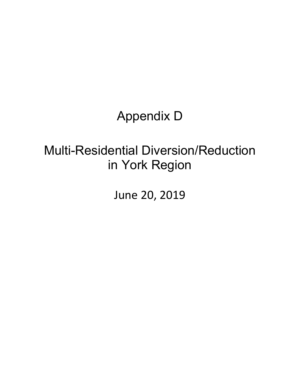# Appendix D

# Multi-Residential Diversion/Reduction in York Region

June 20, 2019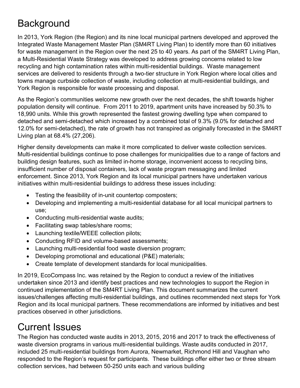## **Background**

In 2013, York Region (the Region) and its nine local municipal partners developed and approved the Integrated Waste Management Master Plan (SM4RT Living Plan) to identify more than 60 initiatives for waste management in the Region over the next 25 to 40 years. As part of the SM4RT Living Plan, a Multi-Residential Waste Strategy was developed to address growing concerns related to low recycling and high contamination rates within multi-residential buildings. Waste management services are delivered to residents through a two-tier structure in York Region where local cities and towns manage curbside collection of waste, including collection at multi-residential buildings, and York Region is responsible for waste processing and disposal.

As the Region's communities welcome new growth over the next decades, the shift towards higher population density will continue. From 2011 to 2019, apartment units have increased by 50.3% to 18,990 units. While this growth represented the fastest growing dwelling type when compared to detached and semi-detached which increased by a combined total of 9.3% (9.0% for detached and 12.0% for semi-detached), the rate of growth has not transpired as originally forecasted in the SM4RT Living plan at 68.4% (27,206).

Higher density developments can make it more complicated to deliver waste collection services. Multi-residential buildings continue to pose challenges for municipalities due to a range of factors and building design features, such as limited in-home storage, inconvenient access to recycling bins, insufficient number of disposal containers, lack of waste program messaging and limited enforcement. Since 2013, York Region and its local municipal partners have undertaken various initiatives within multi-residential buildings to address these issues including:

- Testing the feasibility of in-unit countertop composters;
- Developing and implementing a multi-residential database for all local municipal partners to use;
- Conducting multi-residential waste audits;
- Facilitating swap tables/share rooms;
- Launching textile/WEEE collection pilots;
- Conducting RFID and volume-based assessments;
- Launching multi-residential food waste diversion program;
- Developing promotional and educational (P&E) materials;
- Create template of development standards for local municipalities.

In 2019, EcoCompass Inc. was retained by the Region to conduct a review of the initiatives undertaken since 2013 and identify best practices and new technologies to support the Region in continued implementation of the SM4RT Living Plan. This document summarizes the current issues/challenges affecting multi-residential buildings, and outlines recommended next steps for York Region and its local municipal partners. These recommendations are informed by initiatives and best practices observed in other jurisdictions.

## Current Issues

The Region has conducted waste audits in 2013, 2015, 2016 and 2017 to track the effectiveness of waste diversion programs in various multi-residential buildings. Waste audits conducted in 2017, included 25 multi-residential buildings from Aurora, Newmarket, Richmond Hill and Vaughan who responded to the Region's request for participants. These buildings offer either two or three stream collection services, had between 50-250 units each and various building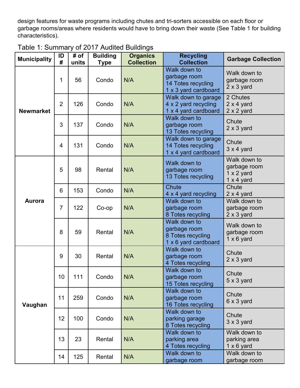design features for waste programs including chutes and tri-sorters accessible on each floor or garbage rooms/areas where residents would have to bring down their waste (See Table 1 for building characteristics).

| <b>Municipality</b> | ID<br>#        | # of<br>units | <b>Building</b><br><b>Type</b> | <b>Organics</b><br><b>Collection</b> | <b>Recycling</b><br><b>Collection</b>                                      | <b>Garbage Collection</b>                                              |
|---------------------|----------------|---------------|--------------------------------|--------------------------------------|----------------------------------------------------------------------------|------------------------------------------------------------------------|
| <b>Newmarket</b>    | 1              | 56            | Condo                          | N/A                                  | Walk down to<br>garbage room<br>14 Totes recycling<br>1 x 3 yard cardboard | Walk down to<br>garbage room<br>$2 \times 3$ yard                      |
|                     | $\overline{2}$ | 126           | Condo                          | N/A                                  | Walk down to garage<br>4 x 2 yard recycling<br>1 x 4 yard cardboard        | 2 Chutes<br>$2 \times 4$ yard<br>$2 \times 2$ yard                     |
|                     | 3              | 137           | Condo                          | N/A                                  | Walk down to<br>garbage room<br>13 Totes recycling                         | Chute<br>$2 \times 3$ yard                                             |
|                     | 4              | 131           | Condo                          | N/A                                  | Walk down to garage<br>14 Totes recycling<br>1 x 4 yard cardboard          | Chute<br>$3 \times 4$ yard                                             |
| <b>Aurora</b>       | 5              | 98            | Rental                         | N/A                                  | Walk down to<br>garbage room<br>13 Totes recycling                         | Walk down to<br>garbage room<br>$1 \times 2$ yard<br>$1 \times 4$ yard |
|                     | 6              | 153           | Condo                          | N/A                                  | <b>Chute</b><br>4 x 4 yard recycling                                       | Chute<br>$2 \times 4$ yard                                             |
|                     | $\overline{7}$ | 122           | Co-op                          | N/A                                  | Walk down to<br>garbage room<br>8 Totes recycling                          | Walk down to<br>garbage room<br>$2 \times 3$ yard                      |
|                     | 8              | 59            | Rental                         | N/A                                  | Walk down to<br>garbage room<br>8 Totes recycling<br>1 x 6 yard cardboard  | Walk down to<br>garbage room<br>$1 \times 6$ yard                      |
| Vaughan             | 9              | 30            | Rental                         | N/A                                  | Walk down to<br>garbage room<br>4 Totes recycling                          | Chute<br>$2 \times 3$ yard                                             |
|                     | 10             | 111           | Condo                          | N/A                                  | Walk down to<br>garbage room<br>15 Totes recycling                         | Chute<br>$5 \times 3$ yard                                             |
|                     | 11             | 259           | Condo                          | N/A                                  | Walk down to<br>garbage room<br>16 Totes recycling                         | Chute<br>6 x 3 yard                                                    |
|                     | 12             | 100           | Condo                          | N/A                                  | Walk down to<br>parking garage<br>8 Totes recycling                        | Chute<br>$3 \times 3$ yard                                             |
|                     | 13             | 23            | Rental                         | N/A                                  | Walk down to<br>parking area<br>4 Totes recycling                          | Walk down to<br>parking area<br>$1 \times 6$ yard                      |
|                     | 14             | 125           | Rental                         | N/A                                  | Walk down to<br>garbage room                                               | Walk down to<br>garbage room                                           |

| Table 1: Summary of 2017 Audited Buildings |  |
|--------------------------------------------|--|
|--------------------------------------------|--|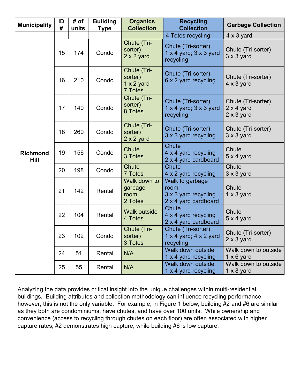| <b>Municipality</b>     | ID<br># | # of<br>units | <b>Building</b><br><b>Type</b> | <b>Organics</b><br><b>Collection</b>                   | <b>Recycling</b><br><b>Collection</b>                                   | <b>Garbage Collection</b>                                    |
|-------------------------|---------|---------------|--------------------------------|--------------------------------------------------------|-------------------------------------------------------------------------|--------------------------------------------------------------|
|                         |         |               |                                |                                                        | 4 Totes recycling                                                       | $4 \times 3$ yard                                            |
| <b>Richmond</b><br>Hill | 15      | 174           | Condo                          | Chute (Tri-<br>sorter)<br>$2 \times 2$ yard            | Chute (Tri-sorter)<br>$1 \times 4$ yard; $3 \times 3$ yard<br>recycling | Chute (Tri-sorter)<br>$3 \times 3$ yard                      |
|                         | 16      | 210           | Condo                          | Chute (Tri-<br>sorter)<br>$1 \times 2$ yard<br>7 Totes | Chute (Tri-sorter)<br>6 x 2 yard recycling                              | Chute (Tri-sorter)<br>$4 \times 3$ yard                      |
|                         | 17      | 140           | Condo                          | Chute (Tri-<br>sorter)<br>8 Totes                      | Chute (Tri-sorter)<br>1 $\times$ 4 yard; 3 $\times$ 3 yard<br>recycling | Chute (Tri-sorter)<br>$2 \times 4$ yard<br>$2 \times 3$ yard |
|                         | 18      | 260           | Condo                          | Chute (Tri-<br>sorter)<br>$2 \times 2$ yard            | Chute (Tri-sorter)<br>3 x 3 yard recycling                              | Chute (Tri-sorter)<br>$3 \times 3$ yard                      |
|                         | 19      | 156           | Condo                          | Chute<br>3 Totes                                       | <b>Chute</b><br>4 x 4 yard recycling<br>2 x 4 yard cardboard            | Chute<br>$5 \times 4$ yard                                   |
|                         | 20      | 198           | Condo                          | <b>Chute</b><br>7 Totes                                | <b>Chute</b><br>4 x 2 yard recycling                                    | Chute<br>3 x 3 yard                                          |
|                         | 21      | 142           | Rental                         | Walk down to<br>garbage<br>room<br>2 Totes             | Walk to garbage<br>room<br>3 x 3 yard recycling<br>2 x 4 yard cardboard | Chute<br>$1 \times 3$ yard                                   |
|                         | 22      | 104           | Rental                         | <b>Walk outside</b><br>4 Totes                         | <b>Chute</b><br>4 x 4 yard recycling<br>2 x 4 yard cardboard            | Chute<br>5 x 4 yard                                          |
|                         | 23      | 102           | Condo                          | Chute (Tri-<br>sorter)<br>3 Totes                      | Chute (Tri-sorter)<br>1 $\times$ 4 yard; 4 $\times$ 2 yard<br>recycling | Chute (Tri-sorter)<br>$2 \times 3$ yard                      |
|                         | 24      | 51            | Rental                         | N/A                                                    | Walk down outside<br>1 x 4 yard recycling                               | Walk down to outside<br>$1 \times 6$ yard                    |
|                         | 25      | 55            | Rental                         | N/A                                                    | Walk down outside<br>1 x 4 yard recycling                               | Walk down to outside<br>$1 \times 8$ yard                    |

Analyzing the data provides critical insight into the unique challenges within multi-residential buildings. Building attributes and collection methodology can influence recycling performance however, this is not the only variable. For example, in Figure 1 below, building #2 and #6 are similar as they both are condominiums, have chutes, and have over 100 units. While ownership and convenience (access to recycling through chutes on each floor) are often associated with higher capture rates, #2 demonstrates high capture, while building #6 is low capture.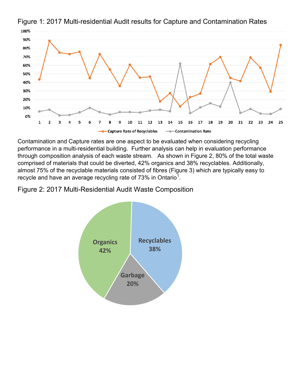

Figure 1: 2017 Multi-residential Audit results for Capture and Contamination Rates

Contamination and Capture rates are one aspect to be evaluated when considering recycling performance in a multi-residential building. Further analysis can help in evaluation performance through composition analysis of each waste stream. As shown in Figure 2, 80% of the total waste comprised of materials that could be diverted, 42% organics and 38% recyclables. Additionally, almost 75% of the recyclable materials consisted of fibres (Figure 3) which are typically easy to recycle and have an average recycling rate of 73% in Ontario $^{\rm 1}.$  $^{\rm 1}.$  $^{\rm 1}.$ 

Figure 2: 2017 Multi-Residential Audit Waste Composition

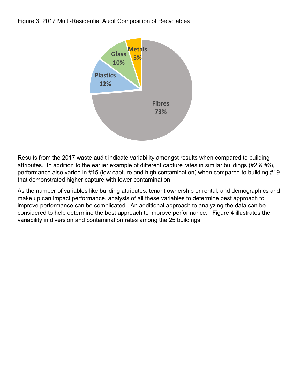

Results from the 2017 waste audit indicate variability amongst results when compared to building attributes. In addition to the earlier example of different capture rates in similar buildings (#2 & #6), performance also varied in #15 (low capture and high contamination) when compared to building #19 that demonstrated higher capture with lower contamination.

As the number of variables like building attributes, tenant ownership or rental, and demographics and make up can impact performance, analysis of all these variables to determine best approach to improve performance can be complicated. An additional approach to analyzing the data can be considered to help determine the best approach to improve performance. Figure 4 illustrates the variability in diversion and contamination rates among the 25 buildings.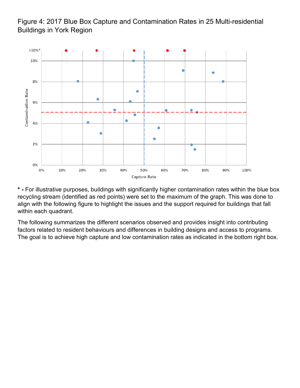### Figure 4: 2017 Blue Box Capture and Contamination Rates in 25 Multi-residential Buildings in York Region



**\* -** For illustrative purposes, buildings with significantly higher contamination rates within the blue box recycling stream (identified as red points) were set to the maximum of the graph. This was done to align with the following figure to highlight the issues and the support required for buildings that fall within each quadrant.

The following summarizes the different scenarios observed and provides insight into contributing factors related to resident behaviours and differences in building designs and access to programs. The goal is to achieve high capture and low contamination rates as indicated in the bottom right box.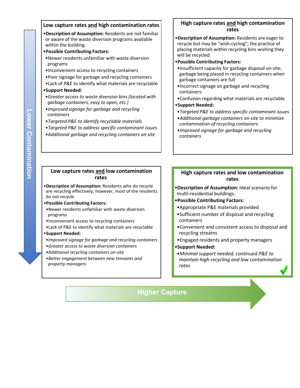#### **Low capture rates and high contamination rates**

- •**Description of Assumption:** Residents are not familiar or aware of the waste diversion programs available within the building.
- •**Possible Contributing Factors:**
- •Newer residents unfamiliar with waste diversion programs
- •Inconvenient access to recycling containers
- •Poor signage for garbage and recycling containers
- •Lack of P&E to identify what materials are recyclable

#### •**Support Needed:**

- •*Greater access to waste diversion bins (located with garbage containers, easy to open, etc.)*
- •*Improved signage for garbage and recycling containers*
- •*Targeted P&E to identify recyclable materials*
- •*Targeted P&E to address specific contaminant issues*
- •*Additional garbage and recycling containers on-site*

#### **High capture rates and high contamination rates**

- •**Description of Assumption:** Residents are eager to recycle but may be "wish-cycling"; the practice of placing materials within recycling bins wishing they will be recycled.
- •**Possible Contributing Factors:**
- •Insufficient capacity for garbage disposal on-site; garbage being placed in recycling containers when garbage containers are full
- •Incorrect signage on garbage and recycling containers
- •Confusion regarding what materials are recyclable •**Support Needed:**
- •*Targeted P&E to address specific contaminant issues*
- •*Additional garbage containers on-site to minimize contamination of recycling containers*
- •*Improved signage for garbage and recycling containers*

#### **Low capture rates and low contamination rates**

- •**Description of Assumption:** Residents who do recycle are recycling effectively; however, most of the residents do not recycle.
- •**Possible Contributing Factors:**
- •Newer residents unfamiliar with waste diversion programs
- •Inconvenient access to recycling containers
- •Lack of P&E to identify what materials are recyclable

#### •**Support Needed:**

- •*Improved signage for garbage and recycling containers* •*Greater access to waste diversion containers*
- •*Additional recycling containers on-site*
- •*Better engagement between new tennants and property managers*

#### **High capture rates and low contamination rates**

- •**Description of Assumption:** Ideal scenario for multi-residential buildings.
- •**Possible Contributing Factors:**
- •Appropriate P&E materials provided
- •Sufficient number of disposal and recycling containers
- •Convenient and consistent access to disposal and recycling streams
- •Engaged residents and property managers
- •**Support Needed:**
- •*Minimal support needed; continued P&E to maintain high recycling and low contamination rates*

### **Higher Capture**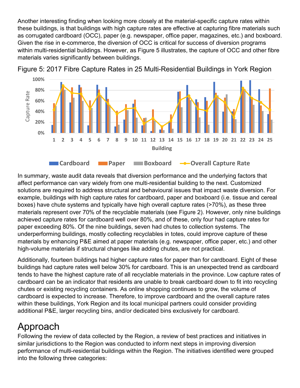Another interesting finding when looking more closely at the material-specific capture rates within these buildings, is that buildings with high capture rates are effective at capturing fibre materials such as corrugated cardboard (OCC), paper (e.g. newspaper, office paper, magazines, etc.) and boxboard. Given the rise in e-commerce, the diversion of OCC is critical for success of diversion programs within multi-residential buildings. However, as Figure 5 illustrates, the capture of OCC and other fibre materials varies significantly between buildings.



Figure 5: 2017 Fibre Capture Rates in 25 Multi-Residential Buildings in York Region

In summary, waste audit data reveals that diversion performance and the underlying factors that affect performance can vary widely from one multi-residential building to the next. Customized solutions are required to address structural and behavioural issues that impact waste diversion. For example, buildings with high capture rates for cardboard, paper and boxboard (i.e. tissue and cereal boxes) have chute systems and typically have high overall capture rates (>70%), as these three materials represent over 70% of the recyclable materials (see Figure 2). However, only nine buildings achieved capture rates for cardboard well over 80%, and of these, only four had capture rates for paper exceeding 80%. Of the nine buildings, seven had chutes to collection systems. The underperforming buildings, mostly collecting recyclables in totes, could improve capture of these materials by enhancing P&E aimed at paper materials (e.g. newspaper, office paper, etc.) and other high-volume materials if structural changes like adding chutes, are not practical.

Additionally, fourteen buildings had higher capture rates for paper than for cardboard. Eight of these buildings had capture rates well below 30% for cardboard. This is an unexpected trend as cardboard tends to have the highest capture rate of all recyclable materials in the province. Low capture rates of cardboard can be an indicator that residents are unable to break cardboard down to fit into recycling chutes or existing recycling containers. As online shopping continues to grow, the volume of cardboard is expected to increase. Therefore, to improve cardboard and the overall capture rates within these buildings, York Region and its local municipal partners could consider providing additional P&E, larger recycling bins, and/or dedicated bins exclusively for cardboard.

## Approach

Following the review of data collected by the Region, a review of best practices and initiatives in similar jurisdictions to the Region was conducted to inform next steps in improving diversion performance of multi-residential buildings within the Region. The initiatives identified were grouped into the following three categories: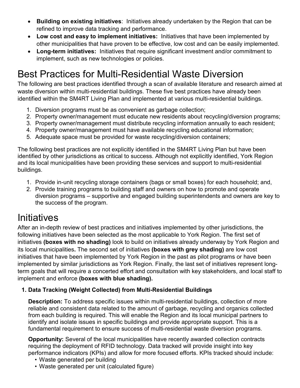- **Building on existing initiatives**: Initiatives already undertaken by the Region that can be refined to improve data tracking and performance.
- **Low cost and easy to implement initiatives:** Initiatives that have been implemented by other municipalities that have proven to be effective, low cost and can be easily implemented.
- **Long-term initiatives:** Initiatives that require significant investment and/or commitment to implement, such as new technologies or policies.

## Best Practices for Multi-Residential Waste Diversion

The following are best practices identified through a scan of available literature and research aimed at waste diversion within multi-residential buildings. These five best practices have already been identified within the SM4RT Living Plan and implemented at various multi-residential buildings.

- 1. Diversion programs must be as convenient as garbage collection;
- 2. Property owner/management must educate new residents about recycling/diversion programs;
- 3. Property owner/management must distribute recycling information annually to each resident;
- 4. Property owner/management must have available recycling educational information;
- 5. Adequate space must be provided for waste recycling/diversion containers;

The following best practices are not explicitly identified in the SM4RT Living Plan but have been identified by other jurisdictions as critical to success. Although not explicitly identified, York Region and its local municipalities have been providing these services and support to multi-residential buildings.

- 1. Provide in-unit recycling storage containers (bags or small boxes) for each household; and,
- 2. Provide training programs to building staff and owners on how to promote and operate diversion programs – supportive and engaged building superintendents and owners are key to the success of the program.

## **Initiatives**

After an in-depth review of best practices and initiatives implemented by other jurisdictions, the following initiatives have been selected as the most applicable to York Region. The first set of initiatives **(boxes with no shading)** look to build on initiatives already underway by York Region and its local municipalities**.** The second set of initiatives **(boxes with grey shading)** are low cost initiatives that have been implemented by York Region in the past as pilot programs or have been implemented by similar jurisdictions as York Region. Finally, the last set of initiatives represent longterm goals that will require a concerted effort and consultation with key stakeholders, and local staff to implement and enforce **(boxes with blue shading).** 

#### **1. Data Tracking (Weight Collected) from Multi-Residential Buildings**

**Description:** To address specific issues within multi-residential buildings, collection of more reliable and consistent data related to the amount of garbage, recycling and organics collected from each building is required. This will enable the Region and its local municipal partners to identify and isolate issues in specific buildings and provide appropriate support. This is a fundamental requirement to ensure success of multi-residential waste diversion programs.

**Opportunity:** Several of the local municipalities have recently awarded collection contracts requiring the deployment of RFID technology. Data tracked will provide insight into key performance indicators (KPIs) and allow for more focused efforts. KPIs tracked should include:

- Waste generated per building
- Waste generated per unit (calculated figure)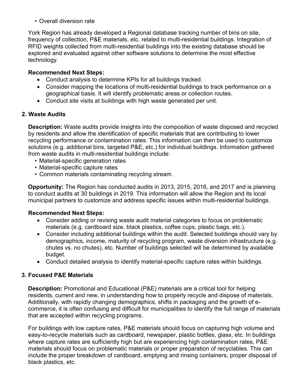• Overall diversion rate

York Region has already developed a Regional database tracking number of bins on site, frequency of collection, P&E materials, etc. related to multi-residential buildings. Integration of RFID weights collected from multi-residential buildings into the existing database should be explored and evaluated against other software solutions to determine the most effective technology.

#### **Recommended Next Steps:**

- Conduct analysis to determine KPIs for all buildings tracked.
- Consider mapping the locations of multi-residential buildings to track performance on a geographical basis. It will identify problematic areas or collection routes.
- Conduct site visits at buildings with high waste generated per unit.

### **2. Waste Audits**

**Description:** Waste audits provide insights into the composition of waste disposed and recycled by residents and allow the identification of specific materials that are contributing to lower recycling performance or contamination rates. This information can then be used to customize solutions (e.g. additional bins, targeted P&E, etc.) for individual buildings. Information gathered from waste audits in multi-residential buildings include:

- Material-specific generation rates
- Material-specific capture rates
- Common materials contaminating recycling stream.

**Opportunity:** The Region has conducted audits in 2013, 2015, 2016, and 2017 and is planning to conduct audits at 30 buildings in 2019. This information will allow the Region and its local municipal partners to customize and address specific issues within multi-residential buildings.

#### **Recommended Next Steps:**

- Consider adding or revising waste audit material categories to focus on problematic materials (e.g. cardboard size, black plastics, coffee cups, plastic bags, etc.).
- Consider including additional buildings within the audit. Selected buildings should vary by demographics, income, maturity of recycling program, waste diversion infrastructure (e.g. chutes vs. no chutes), etc. Number of buildings selected will be determined by available budget.
- Conduct detailed analysis to identify material-specific capture rates within buildings.

#### **3. Focused P&E Materials**

**Description:** Promotional and Educational (P&E) materials are a critical tool for helping residents, current and new, in understanding how to properly recycle and dispose of materials. Additionally, with rapidly changing demographics, shifts in packaging and the growth of ecommerce, it is often confusing and difficult for municipalities to identify the full range of materials that are accepted within recycling programs.

For buildings with low capture rates, P&E materials should focus on capturing high volume and easy-to-recycle materials such as cardboard, newspaper, plastic bottles, glass, etc. In buildings where capture rates are sufficiently high but are experiencing high contamination rates, P&E materials should focus on problematic materials or proper preparation of recyclables. This can include the proper breakdown of cardboard, emptying and rinsing containers, proper disposal of black plastics, etc.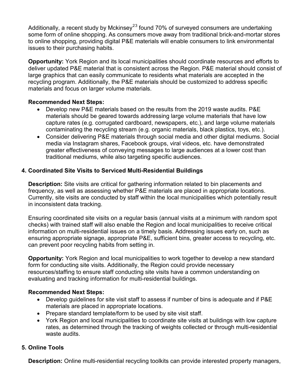Additionally, a recent study by Mckinsey<sup>[2](#page-16-1)[3](#page-16-2)</sup> found 70% of surveyed consumers are undertaking some form of online shopping. As consumers move away from traditional brick-and-mortar stores to online shopping, providing digital P&E materials will enable consumers to link environmental issues to their purchasing habits.

**Opportunity:** York Region and its local municipalities should coordinate resources and efforts to deliver updated P&E material that is consistent across the Region. P&E material should consist of large graphics that can easily communicate to residents what materials are accepted in the recycling program. Additionally, the P&E materials should be customized to address specific materials and focus on larger volume materials.

### **Recommended Next Steps:**

- Develop new P&E materials based on the results from the 2019 waste audits. P&E materials should be geared towards addressing large volume materials that have low capture rates (e.g. corrugated cardboard, newspapers, etc.), and large volume materials contaminating the recycling stream (e.g. organic materials, black plastics, toys, etc.).
- Consider delivering P&E materials through social media and other digital mediums. Social media via Instagram shares, Facebook groups, viral videos, etc. have demonstrated greater effectiveness of conveying messages to large audiences at a lower cost than traditional mediums, while also targeting specific audiences.

### **4. Coordinated Site Visits to Serviced Multi-Residential Buildings**

**Description:** Site visits are critical for gathering information related to bin placements and frequency, as well as assessing whether P&E materials are placed in appropriate locations. Currently, site visits are conducted by staff within the local municipalities which potentially result in inconsistent data tracking.

Ensuring coordinated site visits on a regular basis (annual visits at a minimum with random spot checks) with trained staff will also enable the Region and local municipalities to receive critical information on multi-residential issues on a timely basis. Addressing issues early on, such as ensuring appropriate signage, appropriate P&E, sufficient bins, greater access to recycling, etc. can prevent poor recycling habits from setting in.

**Opportunity:** York Region and local municipalities to work together to develop a new standard form for conducting site visits. Additionally, the Region could provide necessary resources/staffing to ensure staff conducting site visits have a common understanding on evaluating and tracking information for multi-residential buildings.

#### **Recommended Next Steps:**

- Develop guidelines for site visit staff to assess if number of bins is adequate and if P&E materials are placed in appropriate locations.
- Prepare standard template/form to be used by site visit staff.
- York Region and local municipalities to coordinate site visits at buildings with low capture rates, as determined through the tracking of weights collected or through multi-residential waste audits

#### **5. Online Tools**

**Description:** Online multi-residential recycling toolkits can provide interested property managers,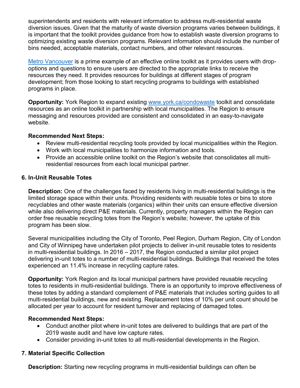superintendents and residents with relevant information to address multi-residential waste diversion issues. Given that the maturity of waste diversion programs varies between buildings, it is important that the toolkit provides guidance from how to establish waste diversion programs to optimizing existing waste diversion programs. Relevant information should include the number of bins needed, acceptable materials, contact numbers, and other relevant resources.

[Metro Vancouver](http://www.metrovancouver.org/services/solid-waste/apartments-condos/apartment-recycling-toolkit/Pages/default.aspx) is a prime example of an effective online toolkit as it provides users with dropoptions and questions to ensure users are directed to the appropriate links to receive the resources they need. It provides resources for buildings at different stages of program development; from those looking to start recycling programs to buildings with established programs in place.

**Opportunity:** York Region to expand existing [www.york.ca/condowaste](http://www.york.ca/condowaste) toolkit and consolidate resources as an online toolkit in partnership with local municipalities. The Region to ensure messaging and resources provided are consistent and consolidated in an easy-to-navigate website.

#### **Recommended Next Steps:**

- Review multi-residential recycling tools provided by local municipalities within the Region.
- Work with local municipalities to harmonize information and tools.
- Provide an accessible online toolkit on the Region's website that consolidates all multiresidential resources from each local municipal partner.

#### **6. In-Unit Reusable Totes**

**Description:** One of the challenges faced by residents living in multi-residential buildings is the limited storage space within their units. Providing residents with reusable totes or bins to store recyclables and other waste materials (organics) within their units can ensure effective diversion while also delivering direct P&E materials. Currently, property managers within the Region can order free reusable recycling totes from the Region's website; however, the uptake of this program has been slow.

Several municipalities including the City of Toronto, Peel Region, Durham Region, City of London and City of Winnipeg have undertaken pilot projects to deliver in-unit reusable totes to residents in multi-residential buildings. In 2016 – 2017, the Region conducted a similar pilot project delivering in-unit totes to a number of multi-residential buildings. Buildings that received the totes experienced an 11.4% increase in recycling capture rates.

**Opportunity:** York Region and its local municipal partners have provided reusable recycling totes to residents in multi-residential buildings. There is an opportunity to improve effectiveness of these totes by adding a standard complement of P&E materials that includes sorting guides to all multi-residential buildings, new and existing. Replacement totes of 10% per unit count should be allocated per year to account for resident turnover and replacing of damaged totes.

#### **Recommended Next Steps:**

- Conduct another pilot where in-unit totes are delivered to buildings that are part of the 2019 waste audit and have low capture rates.
- Consider providing in-unit totes to all multi-residential developments in the Region.

#### **7. Material Specific Collection**

**Description:** Starting new recycling programs in multi-residential buildings can often be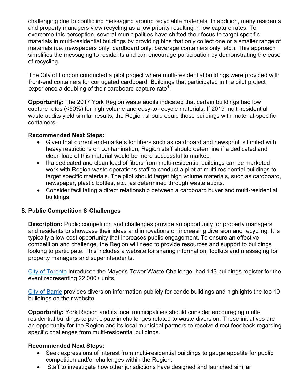challenging due to conflicting messaging around recyclable materials. In addition, many residents and property managers view recycling as a low priority resulting in low capture rates. To overcome this perception, several municipalities have shifted their focus to target specific materials in multi-residential buildings by providing bins that only collect one or a smaller range of materials (i.e. newspapers only, cardboard only, beverage containers only, etc.). This approach simplifies the messaging to residents and can encourage participation by demonstrating the ease of recycling.

The City of London conducted a pilot project where multi-residential buildings were provided with front-end containers for corrugated cardboard. Buildings that participated in the pilot project experience a doubling of their cardboard capture rate<sup>[4](#page-16-3)</sup>.

**Opportunity:** The 2017 York Region waste audits indicated that certain buildings had low capture rates (<50%) for high volume and easy-to-recycle materials. If 2019 multi-residential waste audits yield similar results, the Region should equip those buildings with material-specific containers.

#### **Recommended Next Steps:**

- Given that current end-markets for fibers such as cardboard and newsprint is limited with heavy restrictions on contamination, Region staff should determine if a dedicated and clean load of this material would be more successful to market.
- If a dedicated and clean load of fibers from multi-residential buildings can be marketed, work with Region waste operations staff to conduct a pilot at multi-residential buildings to target specific materials. The pilot should target high volume materials, such as cardboard, newspaper, plastic bottles, etc., as determined through waste audits.
- Consider facilitating a direct relationship between a cardboard buyer and multi-residential buildings.

#### **8. Public Competition & Challenges**

**Description:** Public competition and challenges provide an opportunity for property managers and residents to showcase their ideas and innovations on increasing diversion and recycling. It is typically a low-cost opportunity that increases public engagement. To ensure an effective competition and challenge, the Region will need to provide resources and support to buildings looking to participate. This includes a website for sharing information, toolkits and messaging for property managers and superintendents.

[City of Toronto](https://www.toronto.ca/services-payments/recycling-organics-garbage/apartments-condos-co-ops/mayors-towering-waste-challenge/) introduced the Mayor's Tower Waste Challenge, had 143 buildings register for the event representing 22,000+ units.

[City of Barrie](https://www.barrie.ca/Living/GarbageAndRecycling/Pages/Multi-Residential-Collection.aspx) provides diversion information publicly for condo buildings and highlights the top 10 buildings on their website.

**Opportunity:** York Region and its local municipalities should consider encouraging multiresidential buildings to participate in challenges related to waste diversion. These initiatives are an opportunity for the Region and its local municipal partners to receive direct feedback regarding specific challenges from multi-residential buildings.

#### **Recommended Next Steps:**

- Seek expressions of interest from multi-residential buildings to gauge appetite for public competition and/or challenges within the Region.
- Staff to investigate how other jurisdictions have designed and launched similar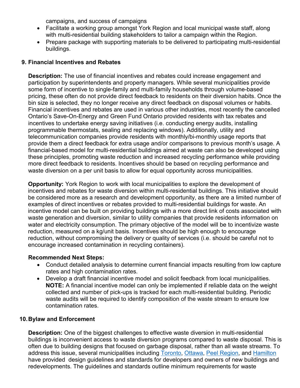campaigns, and success of campaigns

- Facilitate a working group amongst York Region and local municipal waste staff, along with multi-residential building stakeholders to tailor a campaign within the Region.
- Prepare package with supporting materials to be delivered to participating multi-residential buildings.

#### **9. Financial Incentives and Rebates**

**Description:** The use of financial incentives and rebates could increase engagement and participation by superintendents and property managers. While several municipalities provide some form of incentive to single-family and multi-family households through volume-based pricing, these often do not provide direct feedback to residents on their diversion habits. Once the bin size is selected, they no longer receive any direct feedback on disposal volumes or habits. Financial incentives and rebates are used in various other industries, most recently the cancelled Ontario's Save-On-Energy and Green Fund Ontario provided residents with tax rebates and incentives to undertake energy saving initiatives (i.e. conducting energy audits, installing programmable thermostats, sealing and replacing windows). Additionally, utility and telecommunication companies provide residents with monthly/bi-monthly usage reports that provide them a direct feedback for extra usage and/or comparisons to previous month's usage. A financial-based model for multi-residential buildings aimed at waste can also be developed using these principles, promoting waste reduction and increased recycling performance while providing more direct feedback to residents. Incentives should be based on recycling performance and waste diversion on a per unit basis to allow for equal opportunity across municipalities.

**Opportunity:** York Region to work with local municipalities to explore the development of incentives and rebates for waste diversion within multi-residential buildings. This initiative should be considered more as a research and development opportunity, as there are a limited number of examples of direct incentives or rebates provided to multi-residential buildings for waste. An incentive model can be built on providing buildings with a more direct link of costs associated with waste generation and diversion, similar to utility companies that provide residents information on water and electricity consumption. The primary objective of the model will be to incentivize waste reduction, measured on a kg/unit basis. Incentives should be high enough to encourage reduction, without compromising the delivery or quality of services (i.e. should be careful not to encourage increased contamination in recycling containers).

#### **Recommended Next Steps:**

- Conduct detailed analysis to determine current financial impacts resulting from low capture rates and high contamination rates.
- Develop a draft financial incentive model and solicit feedback from local municipalities. **NOTE:** A financial incentive model can only be implemented if reliable data on the weight collected and number of pick-ups is tracked for each multi-residential building. Periodic waste audits will be required to identify composition of the waste stream to ensure low contamination rates.

#### **10.Bylaw and Enforcement**

**Description:** One of the biggest challenges to effective waste diversion in multi-residential buildings is inconvenient access to waste diversion programs compared to waste disposal. This is often due to building designs that focused on garbage disposal, rather than all waste streams. To address this issue, several municipalities including [Toronto,](https://www.toronto.ca/wp-content/uploads/2017/11/9914-Requirements-for-developments-and-redevelopments.pdf) [Ottawa,](http://ottawa.ca/calendar/ottawa/citycouncil/pec/2012/11-13/Solid%20Waste%20Collection%20Guidelines%20-%20Doc%201.pdf) [Peel Region,](http://www.peelregion.ca/pw/standards/design/waste-collection-design-manual-2016.pdf) and [Hamilton](https://d3fpllf1m7bbt3.cloudfront.net/sites/default/files/media/browser/2014-12-19/site-plan-guidelines-appendix21-collection-design-guidelines.pdf) have provided design guidelines and standards for developers and owners of new buildings and redevelopments. The guidelines and standards outline minimum requirements for waste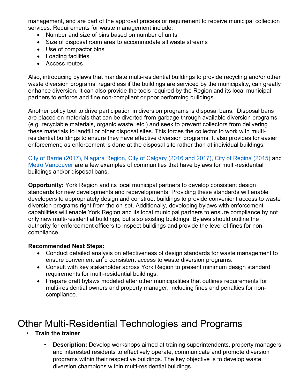management, and are part of the approval process or requirement to receive municipal collection services. Requirements for waste management include:

- Number and size of bins based on number of units
- Size of disposal room area to accommodate all waste streams
- Use of compactor bins
- Loading facilities
- Access routes

Also, introducing bylaws that mandate multi-residential buildings to provide recycling and/or other waste diversion programs, regardless if the buildings are serviced by the municipality, can greatly enhance diversion. It can also provide the tools required by the Region and its local municipal partners to enforce and fine non-compliant or poor performing buildings.

Another policy tool to drive participation in diversion programs is disposal bans. Disposal bans are placed on materials that can be diverted from garbage through available diversion programs (e.g. recyclable materials, organic waste, etc.) and seek to prevent collectors from delivering these materials to landfill or other disposal sites. This forces the collector to work with multiresidential buildings to ensure they have effective diversion programs. It also provides for easier enforcement, as enforcement is done at the disposal site rather than at individual buildings.

[City of Barrie \(2017\),](https://www.barrie.ca/City%20Hall/ByLaws/BylawDocs/Waste%20Management%20By-law%202016-108.pdf?@FileDirRef=City%20Hall/ByLaws/BylawDocs) [Niagara Region,](https://www.niagararegion.ca/waste/containers/apartments.aspx) [City of Calgary \(2016 and 2017\),](https://www.calgary.ca/UEP/WRS/Pages/Recycling-information/Residential-services/Multifamily-recycling/Multifamily-Recycling-Requirements.aspx?redirect=/multifamilyrecycling) [City of Regina \(2015\)](https://www.regina.ca/home-property/recycling-garbage/recycling/#outline-waste-management-plan-for-multi-family-properties) and [Metro Vancouver](http://www.metrovancouver.org/services/solid-waste/SolidWastePublications/ODB-DisposalBansLetter.pdf) are a few examples of communities that have bylaws for multi-residential buildings and/or disposal bans.

**Opportunity:** York Region and its local municipal partners to develop consistent design standards for new developments and redevelopments. Providing these standards will enable developers to appropriately design and construct buildings to provide convenient access to waste diversion programs right from the on-set. Additionally, developing bylaws with enforcement capabilities will enable York Region and its local municipal partners to ensure compliance by not only new multi-residential buildings, but also existing buildings. Bylaws should outline the authority for enforcement officers to inspect buildings and provide the level of fines for noncompliance.

#### **Recommended Next Steps:**

- Conduct detailed analysis on effectiveness of design standards for waste management to ensure convenient an<sup>[5](#page-16-4)</sup>d consistent access to waste diversion programs.
- Consult with key stakeholder across York Region to present minimum design standard requirements for multi-residential buildings.
- Prepare draft bylaws modeled after other municipalities that outlines requirements for multi-residential owners and property manager, including fines and penalties for noncompliance.

## Other Multi-Residential Technologies and Programs

- **Train the trainer**
	- **Description:** Develop workshops aimed at training superintendents, property managers and interested residents to effectively operate, communicate and promote diversion programs within their respective buildings. The key objective is to develop waste diversion champions within multi-residential buildings.